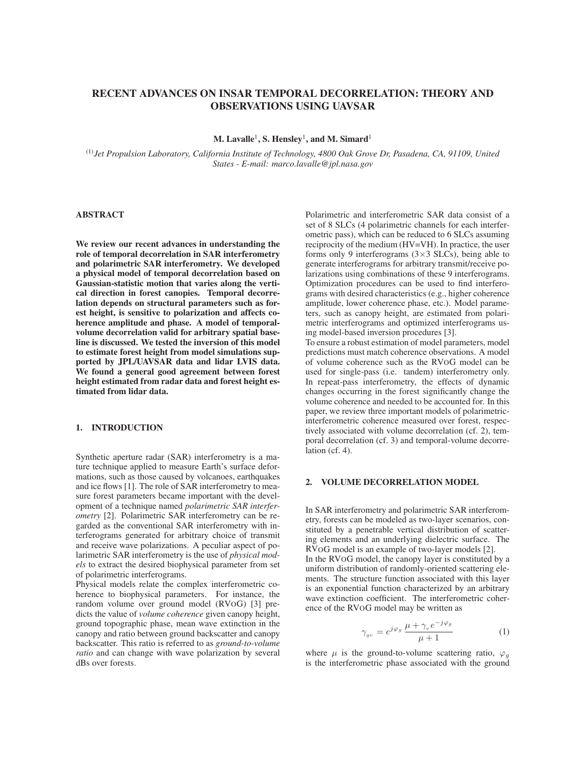# RECENT ADVANCES ON INSAR TEMPORAL DECORRELATION: THEORY AND OBSERVATIONS USING UAVSAR

M. Lavalle<sup>1</sup>, S. Hensley<sup>1</sup>, and M. Simard<sup>1</sup>

(1)*Jet Propulsion Laboratory, California Institute of Technology, 4800 Oak Grove Dr, Pasadena, CA, 91109, United States - E-mail: marco.lavalle@jpl.nasa.gov*

# ABSTRACT

We review our recent advances in understanding the role of temporal decorrelation in SAR interferometry and polarimetric SAR interferometry. We developed a physical model of temporal decorrelation based on Gaussian-statistic motion that varies along the vertical direction in forest canopies. Temporal decorrelation depends on structural parameters such as forest height, is sensitive to polarization and affects coherence amplitude and phase. A model of temporalvolume decorrelation valid for arbitrary spatial baseline is discussed. We tested the inversion of this model to estimate forest height from model simulations supported by JPL/UAVSAR data and lidar LVIS data. We found a general good agreement between forest height estimated from radar data and forest height estimated from lidar data.

# 1. INTRODUCTION

Synthetic aperture radar (SAR) interferometry is a mature technique applied to measure Earth's surface deformations, such as those caused by volcanoes, earthquakes and ice flows [1]. The role of SAR interferometry to measure forest parameters became important with the development of a technique named *polarimetric SAR interferometry* [2]. Polarimetric SAR interferometry can be regarded as the conventional SAR interferometry with interferograms generated for arbitrary choice of transmit and receive wave polarizations. A peculiar aspect of polarimetric SAR interferometry is the use of *physical models* to extract the desired biophysical parameter from set of polarimetric interferograms.

Physical models relate the complex interferometric coherence to biophysical parameters. For instance, the random volume over ground model (RVOG) [3] predicts the value of *volume coherence* given canopy height, ground topographic phase, mean wave extinction in the canopy and ratio between ground backscatter and canopy backscatter. This ratio is referred to as *ground-to-volume ratio* and can change with wave polarization by several dBs over forests.

Polarimetric and interferometric SAR data consist of a set of 8 SLCs (4 polarimetric channels for each interferometric pass), which can be reduced to 6 SLCs assuming reciprocity of the medium (HV=VH). In practice, the user forms only 9 interferograms  $(3\times3$  SLCs), being able to generate interferograms for arbitrary transmit/receive polarizations using combinations of these 9 interferograms. Optimization procedures can be used to find interferograms with desired characteristics (e.g., higher coherence amplitude, lower coherence phase, etc.). Model parameters, such as canopy height, are estimated from polarimetric interferograms and optimized interferograms using model-based inversion procedures [3].

To ensure a robust estimation of model parameters, model predictions must match coherence observations. A model of volume coherence such as the RVOG model can be used for single-pass (i.e. tandem) interferometry only. In repeat-pass interferometry, the effects of dynamic changes occurring in the forest significantly change the volume coherence and needed to be accounted for. In this paper, we review three important models of polarimetricinterferometric coherence measured over forest, respectively associated with volume decorrelation (cf. 2), temporal decorrelation (cf. 3) and temporal-volume decorrelation (cf. 4).

#### 2. VOLUME DECORRELATION MODEL

In SAR interferometry and polarimetric SAR interferometry, forests can be modeled as two-layer scenarios, constituted by a penetrable vertical distribution of scattering elements and an underlying dielectric surface. The RVOG model is an example of two-layer models [2]. In the RVOG model, the canopy layer is constituted by a uniform distribution of randomly-oriented scattering elements. The structure function associated with this layer

is an exponential function characterized by an arbitrary wave extinction coefficient. The interferometric coherence of the RVOG model may be written as

$$
\gamma_{g\nu} = e^{j\varphi_g} \frac{\mu + \gamma_{\nu} e^{-j\varphi_g}}{\mu + 1} \tag{1}
$$

where  $\mu$  is the ground-to-volume scattering ratio,  $\varphi_q$ is the interferometric phase associated with the ground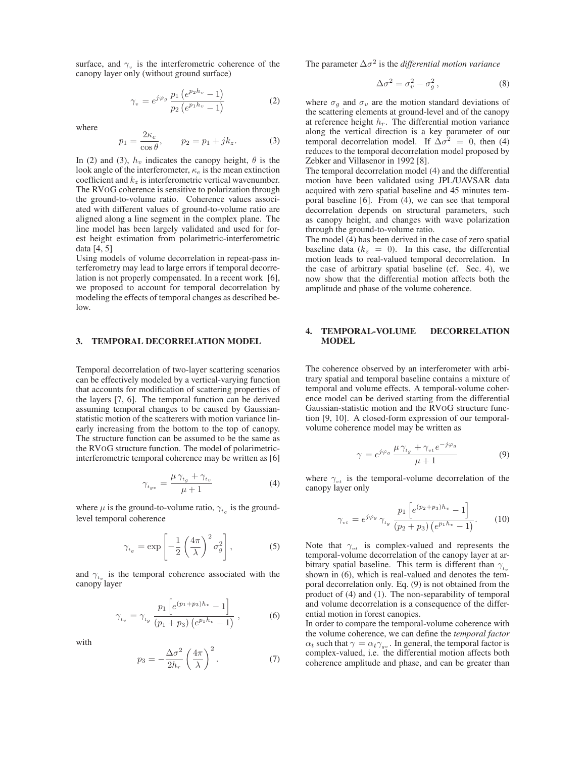surface, and  $\gamma_{\mu}$  is the interferometric coherence of the canopy layer only (without ground surface)

$$
\gamma_v = e^{j\varphi_g} \frac{p_1 \left( e^{p_2 h_v} - 1 \right)}{p_2 \left( e^{p_1 h_v} - 1 \right)} \tag{2}
$$

where

$$
p_1 = \frac{2\kappa_e}{\cos\theta}, \qquad p_2 = p_1 + jk_z. \tag{3}
$$

In (2) and (3),  $h<sub>v</sub>$  indicates the canopy height,  $\theta$  is the look angle of the interferometer,  $\kappa_e$  is the mean extinction coefficient and  $k_z$  is interferometric vertical wavenumber. The RVOG coherence is sensitive to polarization through the ground-to-volume ratio. Coherence values associated with different values of ground-to-volume ratio are aligned along a line segment in the complex plane. The line model has been largely validated and used for forest height estimation from polarimetric-interferometric data [4, 5]

Using models of volume decorrelation in repeat-pass interferometry may lead to large errors if temporal decorrelation is not properly compensated. In a recent work [6], we proposed to account for temporal decorrelation by modeling the effects of temporal changes as described below.

#### 3. TEMPORAL DECORRELATION MODEL

Temporal decorrelation of two-layer scattering scenarios can be effectively modeled by a vertical-varying function that accounts for modification of scattering properties of the layers [7, 6]. The temporal function can be derived assuming temporal changes to be caused by Gaussianstatistic motion of the scatterers with motion variance linearly increasing from the bottom to the top of canopy. The structure function can be assumed to be the same as the RVOG structure function. The model of polarimetricinterferometric temporal coherence may be written as [6]

$$
\gamma_{t_{gv}} = \frac{\mu \, \gamma_{t_g} + \gamma_{t_v}}{\mu + 1} \tag{4}
$$

where  $\mu$  is the ground-to-volume ratio,  $\gamma_{t_q}$  is the groundlevel temporal coherence

$$
\gamma_{t_g} = \exp\left[-\frac{1}{2}\left(\frac{4\pi}{\lambda}\right)^2 \sigma_g^2\right],\tag{5}
$$

and  $\gamma_{t}$  is the temporal coherence associated with the canopy layer

$$
\gamma_{t_v} = \gamma_{t_g} \frac{p_1 \left[ e^{(p_1 + p_3)h_v} - 1 \right]}{(p_1 + p_3) \left( e^{p_1 h_v} - 1 \right)} , \qquad (6)
$$

with

$$
p_3 = -\frac{\Delta \sigma^2}{2h_r} \left(\frac{4\pi}{\lambda}\right)^2.
$$
 (7)

The parameter  $\Delta \sigma^2$  is the *differential motion variance* 

$$
\Delta \sigma^2 = \sigma_v^2 - \sigma_g^2, \qquad (8)
$$

where  $\sigma_q$  and  $\sigma_v$  are the motion standard deviations of the scattering elements at ground-level and of the canopy at reference height  $h_r$ . The differential motion variance along the vertical direction is a key parameter of our temporal decorrelation model. If  $\Delta \sigma^2 = 0$ , then (4) reduces to the temporal decorrelation model proposed by Zebker and Villasenor in 1992 [8].

The temporal decorrelation model (4) and the differential motion have been validated using JPL/UAVSAR data acquired with zero spatial baseline and 45 minutes temporal baseline [6]. From (4), we can see that temporal decorrelation depends on structural parameters, such as canopy height, and changes with wave polarization through the ground-to-volume ratio.

The model (4) has been derived in the case of zero spatial baseline data ( $k_z = 0$ ). In this case, the differential motion leads to real-valued temporal decorrelation. In the case of arbitrary spatial baseline (cf. Sec. 4), we now show that the differential motion affects both the amplitude and phase of the volume coherence.

#### 4. TEMPORAL-VOLUME DECORRELATION **MODEL**

The coherence observed by an interferometer with arbitrary spatial and temporal baseline contains a mixture of temporal and volume effects. A temporal-volume coherence model can be derived starting from the differential Gaussian-statistic motion and the RVOG structure function [9, 10]. A closed-form expression of our temporalvolume coherence model may be written as

$$
\gamma = e^{j\varphi_g} \frac{\mu \gamma_{t_g} + \gamma_{vt} e^{-j\varphi_g}}{\mu + 1} \tag{9}
$$

where  $\gamma_{vt}$  is the temporal-volume decorrelation of the canopy layer only

$$
\gamma_{vt} = e^{j\varphi_g} \gamma_{t_g} \frac{p_1 \left[ e^{(p_2 + p_3)h_v} - 1 \right]}{(p_2 + p_3) \left( e^{p_1 h_v} - 1 \right)}.
$$
 (10)

Note that  $\gamma_{vt}$  is complex-valued and represents the temporal-volume decorrelation of the canopy layer at arbitrary spatial baseline. This term is different than  $\gamma_{t_v}$ shown in (6), which is real-valued and denotes the temporal decorrelation only. Eq. (9) is not obtained from the product of (4) and (1). The non-separability of temporal and volume decorrelation is a consequence of the differential motion in forest canopies.

In order to compare the temporal-volume coherence with the volume coherence, we can define the *temporal factor*  $\alpha_t$  such that  $\gamma = \alpha_t \gamma_{gv}$ . In general, the temporal factor is complex-valued, i.e. the differential motion affects both coherence amplitude and phase, and can be greater than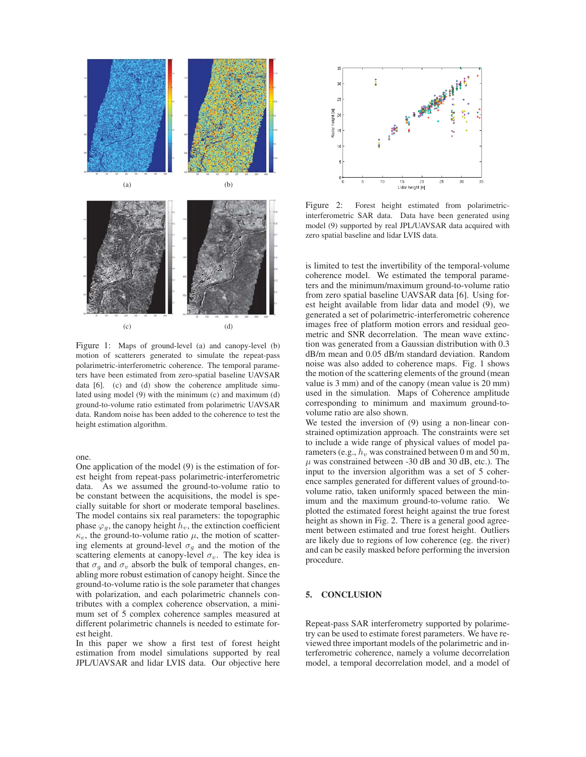

Figure 1: Maps of ground-level (a) and canopy-level (b) motion of scatterers generated to simulate the repeat-pass polarimetric-interferometric coherence. The temporal parameters have been estimated from zero-spatial baseline UAVSAR data [6]. (c) and (d) show the coherence amplitude simulated using model (9) with the minimum (c) and maximum (d) ground-to-volume ratio estimated from polarimetric UAVSAR data. Random noise has been added to the coherence to test the height estimation algorithm.

#### one.

One application of the model (9) is the estimation of forest height from repeat-pass polarimetric-interferometric data. As we assumed the ground-to-volume ratio to be constant between the acquisitions, the model is specially suitable for short or moderate temporal baselines. The model contains six real parameters: the topographic phase  $\varphi_g$ , the canopy height  $\bar{h}_v$ , the extinction coefficient  $\kappa_e$ , the ground-to-volume ratio  $\mu$ , the motion of scattering elements at ground-level  $\sigma_g$  and the motion of the scattering elements at canopy-level  $\sigma_v$ . The key idea is that  $\sigma_q$  and  $\sigma_v$  absorb the bulk of temporal changes, enabling more robust estimation of canopy height. Since the ground-to-volume ratio is the sole parameter that changes with polarization, and each polarimetric channels contributes with a complex coherence observation, a minimum set of 5 complex coherence samples measured at different polarimetric channels is needed to estimate forest height.

In this paper we show a first test of forest height estimation from model simulations supported by real JPL/UAVSAR and lidar LVIS data. Our objective here



Figure 2: Forest height estimated from polarimetricinterferometric SAR data. Data have been generated using model (9) supported by real JPL/UAVSAR data acquired with zero spatial baseline and lidar LVIS data.

is limited to test the invertibility of the temporal-volume coherence model. We estimated the temporal parameters and the minimum/maximum ground-to-volume ratio from zero spatial baseline UAVSAR data [6]. Using forest height available from lidar data and model (9), we generated a set of polarimetric-interferometric coherence images free of platform motion errors and residual geometric and SNR decorrelation. The mean wave extinction was generated from a Gaussian distribution with 0.3 dB/m mean and 0.05 dB/m standard deviation. Random noise was also added to coherence maps. Fig. 1 shows the motion of the scattering elements of the ground (mean value is 3 mm) and of the canopy (mean value is 20 mm) used in the simulation. Maps of Coherence amplitude corresponding to minimum and maximum ground-tovolume ratio are also shown.

We tested the inversion of (9) using a non-linear constrained optimization approach. The constraints were set to include a wide range of physical values of model parameters (e.g.,  $h_v$  was constrained between 0 m and 50 m,  $\mu$  was constrained between -30 dB and 30 dB, etc.). The input to the inversion algorithm was a set of 5 coherence samples generated for different values of ground-tovolume ratio, taken uniformly spaced between the minimum and the maximum ground-to-volume ratio. We plotted the estimated forest height against the true forest height as shown in Fig. 2. There is a general good agreement between estimated and true forest height. Outliers are likely due to regions of low coherence (eg. the river) and can be easily masked before performing the inversion procedure.

# 5. CONCLUSION

Repeat-pass SAR interferometry supported by polarimetry can be used to estimate forest parameters. We have reviewed three important models of the polarimetric and interferometric coherence, namely a volume decorrelation model, a temporal decorrelation model, and a model of